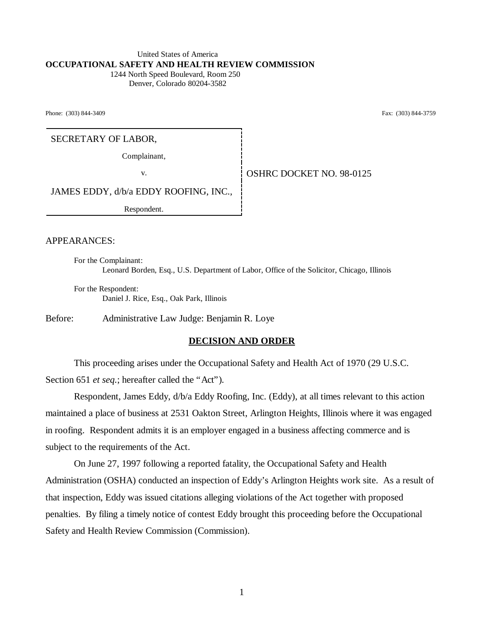#### United States of America **OCCUPATIONAL SAFETY AND HEALTH REVIEW COMMISSION** 1244 North Speed Boulevard, Room 250

Denver, Colorado 80204-3582

Phone: (303) 844-3409 Fax: (303) 844-3759

SECRETARY OF LABOR,

Complainant,

v. **OSHRC DOCKET NO. 98-0125** 

JAMES EDDY, d/b/a EDDY ROOFING, INC.,

Respondent.

APPEARANCES:

For the Complainant: Leonard Borden, Esq., U.S. Department of Labor, Office of the Solicitor, Chicago, Illinois

For the Respondent: Daniel J. Rice, Esq., Oak Park, Illinois

Before: Administrative Law Judge: Benjamin R. Loye

#### **DECISION AND ORDER**

This proceeding arises under the Occupational Safety and Health Act of 1970 (29 U.S.C. Section 651 *et seq.*; hereafter called the "Act").

Respondent, James Eddy, d/b/a Eddy Roofing, Inc. (Eddy), at all times relevant to this action maintained a place of business at 2531 Oakton Street, Arlington Heights, Illinois where it was engaged in roofing. Respondent admits it is an employer engaged in a business affecting commerce and is subject to the requirements of the Act.

On June 27, 1997 following a reported fatality, the Occupational Safety and Health Administration (OSHA) conducted an inspection of Eddy's Arlington Heights work site. As a result of that inspection, Eddy was issued citations alleging violations of the Act together with proposed penalties. By filing a timely notice of contest Eddy brought this proceeding before the Occupational Safety and Health Review Commission (Commission).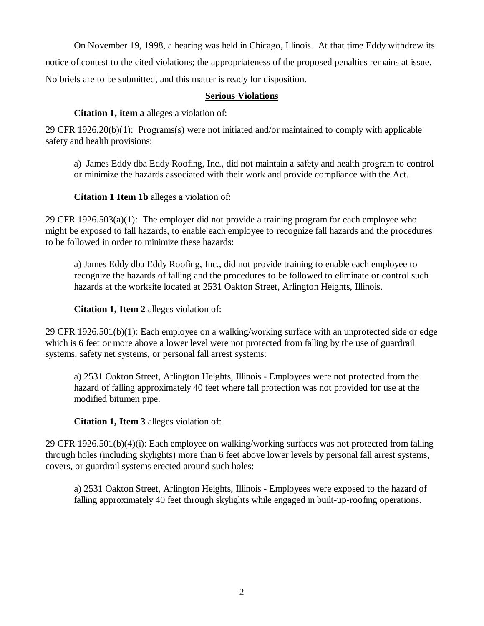On November 19, 1998, a hearing was held in Chicago, Illinois. At that time Eddy withdrew its notice of contest to the cited violations; the appropriateness of the proposed penalties remains at issue. No briefs are to be submitted, and this matter is ready for disposition.

# **Serious Violations**

## **Citation 1, item a** alleges a violation of:

29 CFR 1926.20(b)(1): Programs(s) were not initiated and/or maintained to comply with applicable safety and health provisions:

a) James Eddy dba Eddy Roofing, Inc., did not maintain a safety and health program to control or minimize the hazards associated with their work and provide compliance with the Act.

# **Citation 1 Item 1b** alleges a violation of:

29 CFR 1926.503(a)(1): The employer did not provide a training program for each employee who might be exposed to fall hazards, to enable each employee to recognize fall hazards and the procedures to be followed in order to minimize these hazards:

a) James Eddy dba Eddy Roofing, Inc., did not provide training to enable each employee to recognize the hazards of falling and the procedures to be followed to eliminate or control such hazards at the worksite located at 2531 Oakton Street, Arlington Heights, Illinois.

**Citation 1, Item 2** alleges violation of:

29 CFR 1926.501(b)(1): Each employee on a walking/working surface with an unprotected side or edge which is 6 feet or more above a lower level were not protected from falling by the use of guardrail systems, safety net systems, or personal fall arrest systems:

a) 2531 Oakton Street, Arlington Heights, Illinois - Employees were not protected from the hazard of falling approximately 40 feet where fall protection was not provided for use at the modified bitumen pipe.

**Citation 1, Item 3** alleges violation of:

29 CFR 1926.501(b)(4)(i): Each employee on walking/working surfaces was not protected from falling through holes (including skylights) more than 6 feet above lower levels by personal fall arrest systems, covers, or guardrail systems erected around such holes:

a) 2531 Oakton Street, Arlington Heights, Illinois - Employees were exposed to the hazard of falling approximately 40 feet through skylights while engaged in built-up-roofing operations.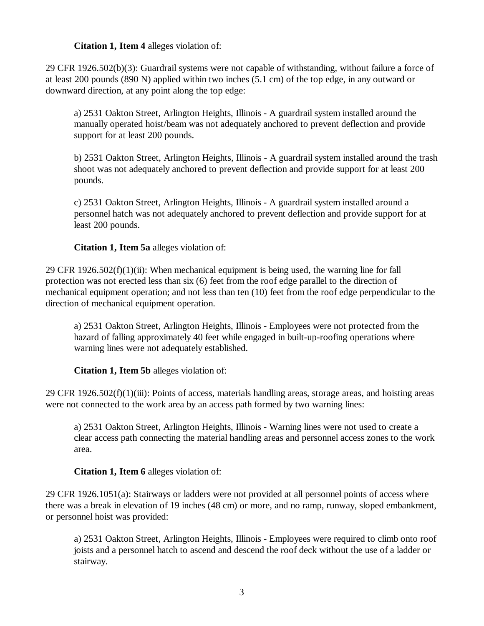# **Citation 1, Item 4** alleges violation of:

29 CFR 1926.502(b)(3): Guardrail systems were not capable of withstanding, without failure a force of at least 200 pounds (890 N) applied within two inches (5.1 cm) of the top edge, in any outward or downward direction, at any point along the top edge:

a) 2531 Oakton Street, Arlington Heights, Illinois - A guardrail system installed around the manually operated hoist/beam was not adequately anchored to prevent deflection and provide support for at least 200 pounds.

b) 2531 Oakton Street, Arlington Heights, Illinois - A guardrail system installed around the trash shoot was not adequately anchored to prevent deflection and provide support for at least 200 pounds.

c) 2531 Oakton Street, Arlington Heights, Illinois - A guardrail system installed around a personnel hatch was not adequately anchored to prevent deflection and provide support for at least 200 pounds.

## **Citation 1, Item 5a** alleges violation of:

29 CFR 1926.502(f)(1)(ii): When mechanical equipment is being used, the warning line for fall protection was not erected less than six (6) feet from the roof edge parallel to the direction of mechanical equipment operation; and not less than ten (10) feet from the roof edge perpendicular to the direction of mechanical equipment operation.

a) 2531 Oakton Street, Arlington Heights, Illinois - Employees were not protected from the hazard of falling approximately 40 feet while engaged in built-up-roofing operations where warning lines were not adequately established.

## **Citation 1, Item 5b** alleges violation of:

29 CFR 1926.502(f)(1)(iii): Points of access, materials handling areas, storage areas, and hoisting areas were not connected to the work area by an access path formed by two warning lines:

a) 2531 Oakton Street, Arlington Heights, Illinois - Warning lines were not used to create a clear access path connecting the material handling areas and personnel access zones to the work area.

## **Citation 1, Item 6** alleges violation of:

29 CFR 1926.1051(a): Stairways or ladders were not provided at all personnel points of access where there was a break in elevation of 19 inches (48 cm) or more, and no ramp, runway, sloped embankment, or personnel hoist was provided:

a) 2531 Oakton Street, Arlington Heights, Illinois - Employees were required to climb onto roof joists and a personnel hatch to ascend and descend the roof deck without the use of a ladder or stairway.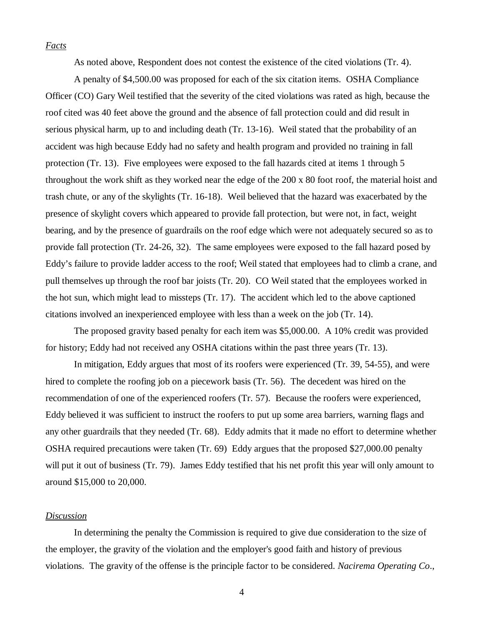#### *Facts*

As noted above, Respondent does not contest the existence of the cited violations (Tr. 4).

A penalty of \$4,500.00 was proposed for each of the six citation items. OSHA Compliance Officer (CO) Gary Weil testified that the severity of the cited violations was rated as high, because the roof cited was 40 feet above the ground and the absence of fall protection could and did result in serious physical harm, up to and including death (Tr. 13-16). Weil stated that the probability of an accident was high because Eddy had no safety and health program and provided no training in fall protection (Tr. 13). Five employees were exposed to the fall hazards cited at items 1 through 5 throughout the work shift as they worked near the edge of the 200 x 80 foot roof, the material hoist and trash chute, or any of the skylights (Tr. 16-18). Weil believed that the hazard was exacerbated by the presence of skylight covers which appeared to provide fall protection, but were not, in fact, weight bearing, and by the presence of guardrails on the roof edge which were not adequately secured so as to provide fall protection (Tr. 24-26, 32). The same employees were exposed to the fall hazard posed by Eddy's failure to provide ladder access to the roof; Weil stated that employees had to climb a crane, and pull themselves up through the roof bar joists (Tr. 20). CO Weil stated that the employees worked in the hot sun, which might lead to missteps (Tr. 17). The accident which led to the above captioned citations involved an inexperienced employee with less than a week on the job (Tr. 14).

The proposed gravity based penalty for each item was \$5,000.00. A 10% credit was provided for history; Eddy had not received any OSHA citations within the past three years (Tr. 13).

In mitigation, Eddy argues that most of its roofers were experienced (Tr. 39, 54-55), and were hired to complete the roofing job on a piecework basis (Tr. 56). The decedent was hired on the recommendation of one of the experienced roofers (Tr. 57). Because the roofers were experienced, Eddy believed it was sufficient to instruct the roofers to put up some area barriers, warning flags and any other guardrails that they needed (Tr. 68). Eddy admits that it made no effort to determine whether OSHA required precautions were taken (Tr. 69) Eddy argues that the proposed \$27,000.00 penalty will put it out of business (Tr. 79). James Eddy testified that his net profit this year will only amount to around \$15,000 to 20,000.

#### *Discussion*

In determining the penalty the Commission is required to give due consideration to the size of the employer, the gravity of the violation and the employer's good faith and history of previous violations. The gravity of the offense is the principle factor to be considered. *Nacirema Operating Co*.,

4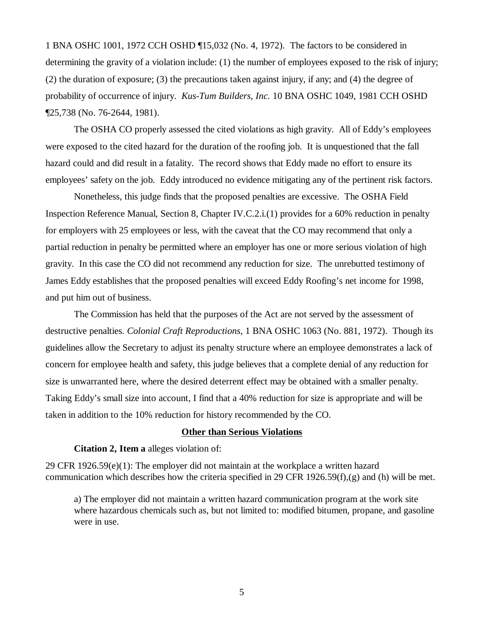1 BNA OSHC 1001, 1972 CCH OSHD ¶15,032 (No. 4, 1972). The factors to be considered in determining the gravity of a violation include: (1) the number of employees exposed to the risk of injury; (2) the duration of exposure; (3) the precautions taken against injury, if any; and (4) the degree of probability of occurrence of injury. *Kus-Tum Builders, Inc.* 10 BNA OSHC 1049, 1981 CCH OSHD ¶25,738 (No. 76-2644, 1981).

The OSHA CO properly assessed the cited violations as high gravity. All of Eddy's employees were exposed to the cited hazard for the duration of the roofing job. It is unquestioned that the fall hazard could and did result in a fatality. The record shows that Eddy made no effort to ensure its employees' safety on the job. Eddy introduced no evidence mitigating any of the pertinent risk factors.

Nonetheless, this judge finds that the proposed penalties are excessive. The OSHA Field Inspection Reference Manual, Section 8, Chapter IV.C.2.i.(1) provides for a 60% reduction in penalty for employers with 25 employees or less, with the caveat that the CO may recommend that only a partial reduction in penalty be permitted where an employer has one or more serious violation of high gravity. In this case the CO did not recommend any reduction for size. The unrebutted testimony of James Eddy establishes that the proposed penalties will exceed Eddy Roofing's net income for 1998, and put him out of business.

The Commission has held that the purposes of the Act are not served by the assessment of destructive penalties. *Colonial Craft Reproductions*, 1 BNA OSHC 1063 (No. 881, 1972). Though its guidelines allow the Secretary to adjust its penalty structure where an employee demonstrates a lack of concern for employee health and safety, this judge believes that a complete denial of any reduction for size is unwarranted here, where the desired deterrent effect may be obtained with a smaller penalty. Taking Eddy's small size into account, I find that a 40% reduction for size is appropriate and will be taken in addition to the 10% reduction for history recommended by the CO.

#### **Other than Serious Violations**

#### **Citation 2, Item a** alleges violation of:

29 CFR 1926.59(e)(1): The employer did not maintain at the workplace a written hazard communication which describes how the criteria specified in 29 CFR 1926.59(f),(g) and (h) will be met.

a) The employer did not maintain a written hazard communication program at the work site where hazardous chemicals such as, but not limited to: modified bitumen, propane, and gasoline were in use.